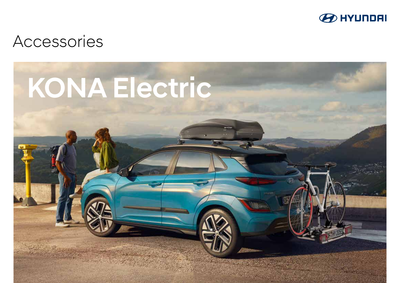

# Accessories

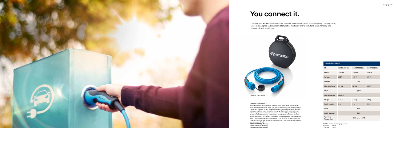Charging cable, Mode 3

#### Charging cable, Mode 3

To maximise its full capabilities the Charging cable, Mode 3 is equipped<br>with Type 2 plugs at both ends. The electrical contacts are made from solid<br>metal, and the easy-to-use plug handles are designed to safely and slowly extensive weatherproofing excludes the possibility of corrosion. Secure<br>automatic locking to both the car and the charging point is provided by the<br>Type 2 plugs. The Charging cable, Mode 3 can be used for the day-to-day<br>ch

99631ADE003A (1-Phase) 99632ADE003A (3-Phase) 99631ADE003B (1-Phase)

| <b>Product information</b> |                   |                                       |                   |
|----------------------------|-------------------|---------------------------------------|-------------------|
| PN                         | 99631ADE003A      | 99632ADE003A                          | 99631ADE003B      |
| <b>Phases</b>              | 1-Phase           | 3-Phase                               | 1-Phase           |
| Voltage                    | 250 V             | 480 V                                 | 250 V             |
| Current                    |                   | 32 A                                  |                   |
| Charging Power*            | 7,4 kW            | <b>22 kW</b>                          | 7,4 kW            |
| Plugs                      | Type 2            |                                       |                   |
| <b>Charging Mode</b>       | Mode 3            |                                       |                   |
| Weight                     | 2.67 <sub>g</sub> | 3.50 <sub>g</sub>                     | 3.40 <sub>g</sub> |
| <b>Cable Length</b>        | 5 <sub>m</sub>    | 5 <sub>m</sub>                        | 7.5 <sub>m</sub>  |
| Color                      |                   | blue                                  |                   |
| <b>Cable Material</b>      |                   | <b>PUR</b>                            |                   |
| Operating<br>Temperature   |                   | -30 $\degree$ C up to +50 $\degree$ C |                   |

\* KONA maximum charging power: 1-phase: 7.2 kW 3-phase: 11 kW

### You connect it.

Charging your KONA Electric could not be easier, smarter and faster. The high-quality Charging cable, Mode 3 is designed and engineered to function faultlessly and to withstand rough handling and extreme climatic conditions.



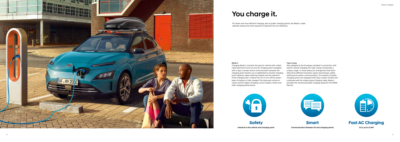# You charge it.

For faster and more efficient charging, also at public charging points, the Mode 3 cable radically reduces the time required to replenish the car's batteries.

### Type-2 plug

Now adopted as the European standard in connection with electric vehicle charging, the Type 2 plug incorporates a unique, single- or three-phase pin arrangement that facilitates three different functions: power transmission, safety earthing and system communication. The majority of public charging points are equipped with Type 2 power sockets and combined with the single-phase Charging cable, Mode 3 provides the maximal possible charging speed for the KONA Electric.



#### Mode 3

Charging Mode 3 connects the electric vehicle with a dedicated electrical circuit via any AC charging point equipped with a Type 2 socket. Active communication between the charging point and the car is established to monitor charging point capacity, safety earthing integrity and the selection of the charging rate. It allows the car to turn off the power when its battery is fully charged. The improved communication and the higher charging current enable a faster and safer charging performance.

> **Safety Interlock in the vehicle and charging point**



**Smart Communication between EV and charging points**



**Fast AC Charging**

**32 A, up to 22 kW**

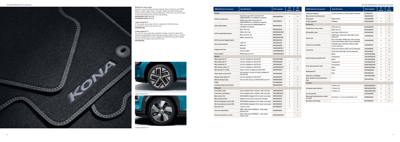2. Alloy wheel kit 17″

1. Alloy wheel kit 17″



#### Textile floor mats, velour

17″ five-spoke alloy wheel, 7.0Jx17″, suitable for 215/55 R17 tyres. Kit includes a central cap and five nuts. 52910DD100B

Introduce a good-looking yet hard-wearing floor covering to your KONA Electric in high-quality velour. The tailor-made mats with striking grey double stitching feature the grey KONA logo in the front row and are held in place with fixing points and anti-slip backing. K4143ADE00 (LHD, set of 4) K4143ADE10 (RHD, set of 4)

#### 1. Alloy wheel kit 17″

#### 2. Alloy wheel kit 17″

This 7.0Jx17″ five-spoke alloy wheel kit includes a full set of silver alloy wheels and lightweight quality anthracite plastic wheel covers to comple ment the KONA Electric's look. Suitable for 215/55 R17 tyres. Kit includes acentral cap, five grey covers and five nuts. K4F40AK000





| <b>KONA Electric Accessory</b>   | <b>Specifications</b>                                                     | Part number  | EV<br><b>MY19</b> | EV<br><b>MY21</b> |
|----------------------------------|---------------------------------------------------------------------------|--------------|-------------------|-------------------|
| <b>Styling</b>                   |                                                                           |              |                   |                   |
| LED door projectors              | Hyundai Logo/LED connection kit<br>(99651ADE90) for installation required | 99651ADE00H  | $\bullet$         |                   |
|                                  | KONA logo/LED connection kit<br>(99651ADE90) for installation required    | J9651ADE00   | ٠                 |                   |
| LED puddle lights                | LED connection kit (99651ADE90) for<br>installation required              | 99651ADE00   |                   |                   |
| <b>LED</b> footwell illumination | Blue, first row                                                           | 99650ADE20   | $\bullet$         |                   |
|                                  | White, first row                                                          | 99650ADE20W  | $\bullet$         |                   |
|                                  | Blue, second row                                                          | 99650ADE31   |                   |                   |
|                                  | White, second row                                                         | 99650ADE31W  | $\bullet$         |                   |
| LED trunk and tailgate lights    |                                                                           | 99652ADE00   |                   |                   |
| Sport grip pedal kit             | LHD, A/T                                                                  | J9F05AK200   | $\bullet$         |                   |
|                                  | RHD, A/T                                                                  | K4F05AK000   | $\bullet$         |                   |
| Tailgate trim line               | <b>Brushed</b>                                                            | J9491ADE10ST | $\bullet$         |                   |
|                                  | Chrome optic                                                              | J9491ADE00ST | $\bullet$         |                   |
| <b>Entry guards</b>              | KONA logo/set of 4                                                        | J9450ADE00ST | $\bullet$         |                   |
| Wheels                           |                                                                           |              |                   |                   |
| Alloy wheel kit 17"              | 7,0Jx17, suitable for 215/55 R17                                          | 52910DD100B  |                   |                   |
| Alloy wheel kit 17"              | 7.0Jx17, suitable for 215/55 R17                                          | K4F40AK000   | $\bullet$         |                   |
| Alloy wheel kit 17"              | 7.0Jx17, suitable for 215/55 R17                                          | J9F40AK200   | $\bullet$         |                   |
| Alloy wheel, silver, 17"         | 7.0Jx17, suitable for 215/55 R17                                          | Q4400ADS07H  |                   |                   |
| Alloy wheel, 17", Halla          | Silver, 7.0Jx17, suitable for 215/55 R17                                  | A4400ADE01   | ٠                 |                   |
| Steel wheel cover kit 16"        | Kit includes 4 covers/6.5Jx16, suitable for<br>205/60 R16                 | J9F40AK990   |                   |                   |
| Design Steel wheel 17"           | 7.0Jx17, suitable for 215/55 R17                                          | J9401ADE00   | $\bullet$         |                   |
| Wheel storage bags               | One size fits all (up to 255/45 R20) / set of 4                           | 99495ADB00   | $\bullet$         |                   |
| <b>TPMS</b>                      |                                                                           | F2F40AK990   | $\bullet$         |                   |
| Locking wheel nuts and key       |                                                                           | 99490ADE50   | $\bullet$         |                   |
| Transport                        |                                                                           |              |                   |                   |
| Cross Bars, steel                | Only available with a vehicle with roof rails                             | J9211ADE00ST |                   |                   |
| Cross bars, aluminium            | Only available with a vehicle with roof rails                             | J9211ADE00AL |                   |                   |
| <b>Bike carrier, Pro</b>         | 99700ADE90 (adapter kit for steel cross bars)                             | 99700ADE00   | $\bullet$         |                   |
| <b>Bike carrier, Active</b>      | Adapter kit for steel cross bars included                                 | 99700ADE10   | $\bullet$         |                   |
| Ski & snowboard carrier 400      | 99701ADE90 (adapter kit for steel cross bars)                             | 99701ADE10   | $\bullet$         |                   |
| Ski & snowboard carrier 600      | 99701ADE90 (adapter kit for steel cross bars)                             | 99701ADE00   | $\bullet$         |                   |
| Roof box 330                     | Volume: 330 L                                                             | 99730ADE10   | $\bullet$         |                   |
| Tow bar, detachable              | With trailer pack (VGXD02) - long range<br>battery only                   | K4281ADE00   |                   |                   |
| Tow bar wiring kit, 13-pole      | With trailer pack (VGXD02) - long range<br>battery only                   | K4621ADE00PC |                   |                   |

| <b>KONA Electric Accessory</b>                          | <b>Specifications</b>                                                                  | <b>Part number</b> | EV<br><b>MY19</b> | EV<br><b>MY21</b> |
|---------------------------------------------------------|----------------------------------------------------------------------------------------|--------------------|-------------------|-------------------|
| Wiring kit adaptor                                      | 13-pole vehicle to 7-pole (trailer/caravan)                                            | E919999137         |                   | ٠                 |
| <b>Bike carrier for all tow bars</b>                    |                                                                                        | E823055001         |                   |                   |
| Dog guard                                               | Upper frame                                                                            | J9150ADE00         | $\bullet$         |                   |
| Trunk organizer                                         | Foldable                                                                               | 99123ADE00         | $\bullet$         |                   |
| Protection                                              |                                                                                        |                    |                   |                   |
|                                                         | LHD/set of 4                                                                           | K4143ADE00         | ٠                 |                   |
| Textile floor mats, velour                              | RHD/set of 4                                                                           | K4143ADE10         | $\bullet$         |                   |
| All weather mats                                        | Grey logo/LHD/set of 4                                                                 | K4131ADE00         | $\bullet$         |                   |
| Trunk mat                                               | KONA logo, trunk area with right corner<br>extension                                   | J9120ADE20         | $\bullet$         |                   |
|                                                         | Non-reversible, KONA logo, full coverage,<br>trunk area without right corner extension | J9120ADE00         | $\bullet$         |                   |
| Trunk mat, reversible                                   | Hyundai logo, trunk area without right<br>corner extension                             | J9120ADE10         | $\bullet$         |                   |
| <b>Trunk liner</b>                                      | Trunk area without right corner extension                                              | J9122ADE00         | $\bullet$         |                   |
|                                                         | Trunk area with right corner extension                                                 | J9122ADE20         | $\bullet$         |                   |
|                                                         | <b>Black</b>                                                                           | J9272ADE00BL       |                   |                   |
| Rear bumper protection foil                             | <b>Transparent</b>                                                                     | J9272ADE00TR       |                   |                   |
|                                                         | <b>Black</b>                                                                           | J9272ADE50BL       | $\bullet$         |                   |
|                                                         | Transparent                                                                            | J9272ADE50TR       | $\bullet$         |                   |
| Door sill protection foils                              | Transparent                                                                            | 99451ADE00TR       | $\bullet$         |                   |
|                                                         | <b>Black</b>                                                                           | 99451ADE00BL       | $\bullet$         |                   |
| <b>Mudguard kit</b>                                     | Front                                                                                  | K4F46AK000         | $\bullet$         |                   |
|                                                         | Rear                                                                                   | K4F46AK100         | $\bullet$         |                   |
| Side door mouldings                                     |                                                                                        | J9271ADE00BL       | $\bullet$         |                   |
| Door handle recess protection<br>foils                  |                                                                                        | 99272ADE00         | $\bullet$         |                   |
| Comfort                                                 |                                                                                        |                    |                   |                   |
|                                                         | 1-Phase, 5m                                                                            | 99631ADE003A       | $\bullet$         |                   |
| Charging cable, Mode 3                                  | 3-Phase, 5m                                                                            | 99632ADE003A       | $\bullet$         |                   |
|                                                         | 1-Phase, 7m                                                                            | 99631ADE003B       | $\bullet$         |                   |
| Ice/sunscreen                                           |                                                                                        | J9723ADE00         | ٠                 |                   |
| Rear seat entertainment cradle<br>for iPad <sup>®</sup> | Fits iPad® 1, 2, 3 & 4 and iPad®Air 1 & 2                                              | 99582ADE01         | $\bullet$         |                   |
| <b>Business suit hanger</b>                             |                                                                                        | 99770ADE10         | $\bullet$         |                   |

| Hyundai KONA Electric Accessories Overview |  |  |  |
|--------------------------------------------|--|--|--|
|--------------------------------------------|--|--|--|